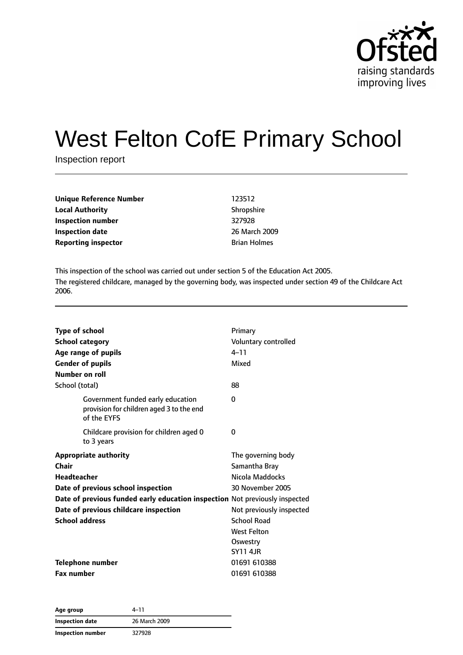

# West Felton CofE Primary School

Inspection report

| 123512              |
|---------------------|
| Shropshire          |
| 327928              |
| 26 March 2009       |
| <b>Brian Holmes</b> |
|                     |

This inspection of the school was carried out under section 5 of the Education Act 2005. The registered childcare, managed by the governing body, was inspected under section 49 of the Childcare Act 2006.

| <b>Type of school</b><br><b>School category</b><br>Age range of pupils<br><b>Gender of pupils</b><br>Number on roll<br>School (total) | Primary<br>Voluntary controlled<br>$4 - 11$<br>Mixed<br>88 |
|---------------------------------------------------------------------------------------------------------------------------------------|------------------------------------------------------------|
|                                                                                                                                       |                                                            |
| Government funded early education<br>provision for children aged 3 to the end<br>of the EYFS                                          | 0                                                          |
| Childcare provision for children aged 0<br>to 3 years                                                                                 | 0                                                          |
| <b>Appropriate authority</b>                                                                                                          | The governing body                                         |
| Chair                                                                                                                                 | Samantha Bray                                              |
| <b>Headteacher</b>                                                                                                                    | Nicola Maddocks                                            |
| Date of previous school inspection                                                                                                    | 30 November 2005                                           |
| Date of previous funded early education inspection Not previously inspected                                                           |                                                            |
| Date of previous childcare inspection                                                                                                 | Not previously inspected                                   |
| <b>School address</b>                                                                                                                 | <b>School Road</b>                                         |
|                                                                                                                                       | <b>West Felton</b>                                         |
|                                                                                                                                       | Oswestry                                                   |
|                                                                                                                                       | <b>SY11 4JR</b>                                            |
| <b>Telephone number</b>                                                                                                               | 01691 610388                                               |
| <b>Fax number</b>                                                                                                                     | 01691 610388                                               |

| Age group                | 4–11          |  |
|--------------------------|---------------|--|
| <b>Inspection date</b>   | 26 March 2009 |  |
| <b>Inspection number</b> | 327928        |  |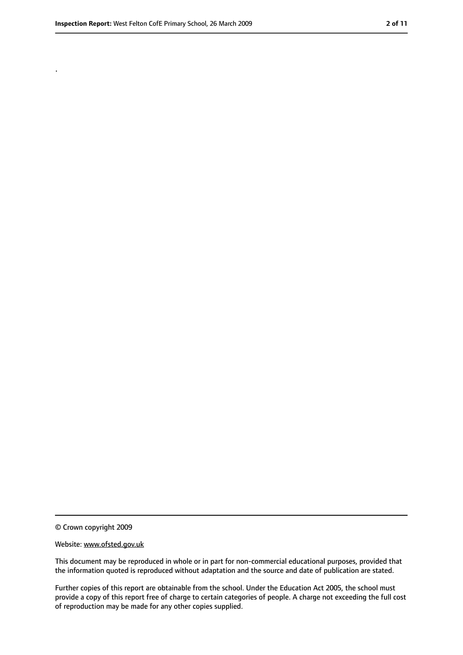.

<sup>©</sup> Crown copyright 2009

Website: www.ofsted.gov.uk

This document may be reproduced in whole or in part for non-commercial educational purposes, provided that the information quoted is reproduced without adaptation and the source and date of publication are stated.

Further copies of this report are obtainable from the school. Under the Education Act 2005, the school must provide a copy of this report free of charge to certain categories of people. A charge not exceeding the full cost of reproduction may be made for any other copies supplied.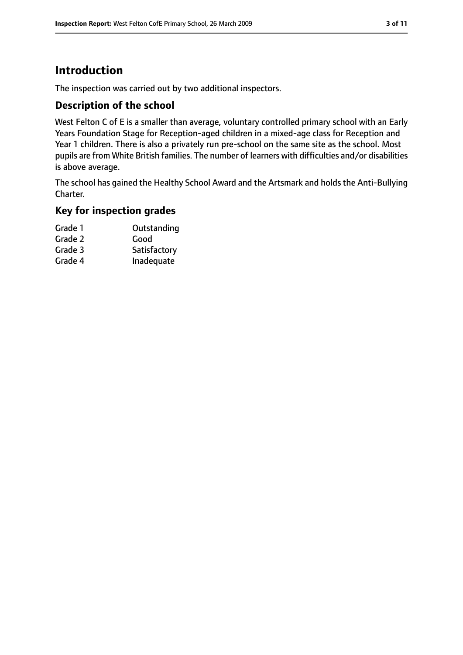# **Introduction**

The inspection was carried out by two additional inspectors.

#### **Description of the school**

West Felton C of E is a smaller than average, voluntary controlled primary school with an Early Years Foundation Stage for Reception-aged children in a mixed-age class for Reception and Year 1 children. There is also a privately run pre-school on the same site as the school. Most pupils are from White British families. The number of learners with difficulties and/or disabilities is above average.

The school has gained the Healthy School Award and the Artsmark and holds the Anti-Bullying Charter.

#### **Key for inspection grades**

| Grade 1 | Outstanding  |
|---------|--------------|
| Grade 2 | Good         |
| Grade 3 | Satisfactory |
| Grade 4 | Inadequate   |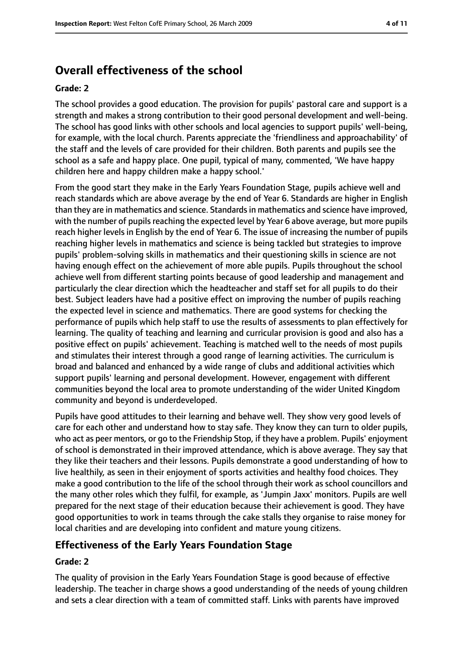# **Overall effectiveness of the school**

#### **Grade: 2**

The school provides a good education. The provision for pupils' pastoral care and support is a strength and makes a strong contribution to their good personal development and well-being. The school has good links with other schools and local agencies to support pupils' well-being, for example, with the local church. Parents appreciate the 'friendliness and approachability' of the staff and the levels of care provided for their children. Both parents and pupils see the school as a safe and happy place. One pupil, typical of many, commented, 'We have happy children here and happy children make a happy school.'

From the good start they make in the Early Years Foundation Stage, pupils achieve well and reach standards which are above average by the end of Year 6. Standards are higher in English than they are in mathematics and science. Standardsin mathematics and science have improved, with the number of pupils reaching the expected level by Year 6 above average, but more pupils reach higher levels in English by the end of Year 6. The issue of increasing the number of pupils reaching higher levels in mathematics and science is being tackled but strategies to improve pupils' problem-solving skills in mathematics and their questioning skills in science are not having enough effect on the achievement of more able pupils. Pupils throughout the school achieve well from different starting points because of good leadership and management and particularly the clear direction which the headteacher and staff set for all pupils to do their best. Subject leaders have had a positive effect on improving the number of pupils reaching the expected level in science and mathematics. There are good systems for checking the performance of pupils which help staff to use the results of assessments to plan effectively for learning. The quality of teaching and learning and curricular provision is good and also has a positive effect on pupils' achievement. Teaching is matched well to the needs of most pupils and stimulates their interest through a good range of learning activities. The curriculum is broad and balanced and enhanced by a wide range of clubs and additional activities which support pupils' learning and personal development. However, engagement with different communities beyond the local area to promote understanding of the wider United Kingdom community and beyond is underdeveloped.

Pupils have good attitudes to their learning and behave well. They show very good levels of care for each other and understand how to stay safe. They know they can turn to older pupils, who act as peer mentors, or go to the Friendship Stop, if they have a problem. Pupils' enjoyment of school is demonstrated in their improved attendance, which is above average. They say that they like their teachers and their lessons. Pupils demonstrate a good understanding of how to live healthily, as seen in their enjoyment of sports activities and healthy food choices. They make a good contribution to the life of the school through their work as school councillors and the many other roles which they fulfil, for example, as 'Jumpin Jaxx' monitors. Pupils are well prepared for the next stage of their education because their achievement is good. They have good opportunities to work in teams through the cake stalls they organise to raise money for local charities and are developing into confident and mature young citizens.

#### **Effectiveness of the Early Years Foundation Stage**

#### **Grade: 2**

The quality of provision in the Early Years Foundation Stage is good because of effective leadership. The teacher in charge shows a good understanding of the needs of young children and sets a clear direction with a team of committed staff. Links with parents have improved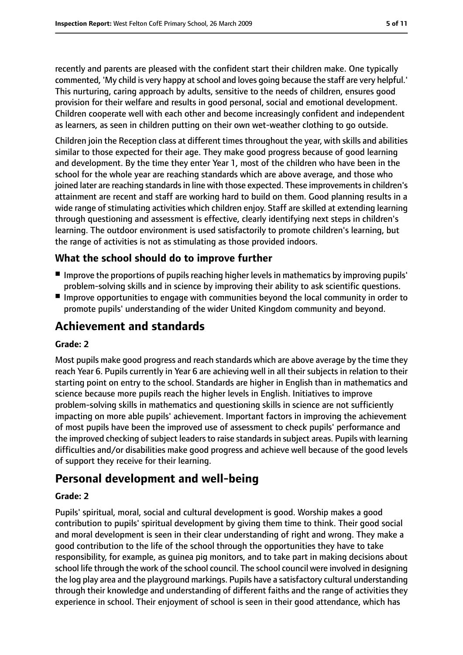recently and parents are pleased with the confident start their children make. One typically commented, 'My child is very happy at school and loves going because the staff are very helpful.' This nurturing, caring approach by adults, sensitive to the needs of children, ensures good provision for their welfare and results in good personal, social and emotional development. Children cooperate well with each other and become increasingly confident and independent as learners, as seen in children putting on their own wet-weather clothing to go outside.

Children join the Reception class at different times throughout the year, with skills and abilities similar to those expected for their age. They make good progress because of good learning and development. By the time they enter Year 1, most of the children who have been in the school for the whole year are reaching standards which are above average, and those who joined later are reaching standards in line with those expected. These improvements in children's attainment are recent and staff are working hard to build on them. Good planning results in a wide range of stimulating activities which children enjoy. Staff are skilled at extending learning through questioning and assessment is effective, clearly identifying next steps in children's learning. The outdoor environment is used satisfactorily to promote children's learning, but the range of activities is not as stimulating as those provided indoors.

#### **What the school should do to improve further**

- Improve the proportions of pupils reaching higher levels in mathematics by improving pupils' problem-solving skills and in science by improving their ability to ask scientific questions.
- Improve opportunities to engage with communities beyond the local community in order to promote pupils' understanding of the wider United Kingdom community and beyond.

# **Achievement and standards**

#### **Grade: 2**

Most pupils make good progress and reach standards which are above average by the time they reach Year 6. Pupils currently in Year 6 are achieving well in all their subjects in relation to their starting point on entry to the school. Standards are higher in English than in mathematics and science because more pupils reach the higher levels in English. Initiatives to improve problem-solving skills in mathematics and questioning skills in science are not sufficiently impacting on more able pupils' achievement. Important factors in improving the achievement of most pupils have been the improved use of assessment to check pupils' performance and the improved checking of subject leaders to raise standards in subject areas. Pupils with learning difficulties and/or disabilities make good progress and achieve well because of the good levels of support they receive for their learning.

# **Personal development and well-being**

#### **Grade: 2**

Pupils' spiritual, moral, social and cultural development is good. Worship makes a good contribution to pupils' spiritual development by giving them time to think. Their good social and moral development is seen in their clear understanding of right and wrong. They make a good contribution to the life of the school through the opportunities they have to take responsibility, for example, as guinea pig monitors, and to take part in making decisions about school life through the work of the school council. The school council were involved in designing the log play area and the playground markings. Pupils have a satisfactory cultural understanding through their knowledge and understanding of different faiths and the range of activities they experience in school. Their enjoyment of school is seen in their good attendance, which has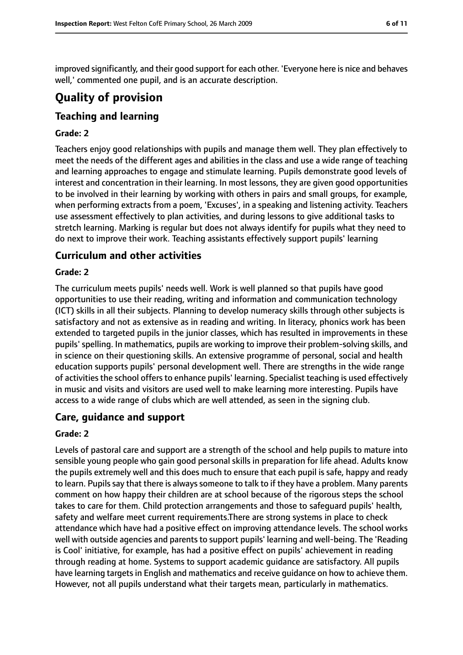improved significantly, and their good support for each other. 'Everyone here is nice and behaves well,' commented one pupil, and is an accurate description.

# **Quality of provision**

### **Teaching and learning**

#### **Grade: 2**

Teachers enjoy good relationships with pupils and manage them well. They plan effectively to meet the needs of the different ages and abilities in the class and use a wide range of teaching and learning approaches to engage and stimulate learning. Pupils demonstrate good levels of interest and concentration in their learning. In most lessons, they are given good opportunities to be involved in their learning by working with others in pairs and small groups, for example, when performing extracts from a poem, 'Excuses', in a speaking and listening activity. Teachers use assessment effectively to plan activities, and during lessons to give additional tasks to stretch learning. Marking is regular but does not always identify for pupils what they need to do next to improve their work. Teaching assistants effectively support pupils' learning

#### **Curriculum and other activities**

#### **Grade: 2**

The curriculum meets pupils' needs well. Work is well planned so that pupils have good opportunities to use their reading, writing and information and communication technology (ICT) skills in all their subjects. Planning to develop numeracy skills through other subjects is satisfactory and not as extensive as in reading and writing. In literacy, phonics work has been extended to targeted pupils in the junior classes, which has resulted in improvements in these pupils' spelling. In mathematics, pupils are working to improve their problem-solving skills, and in science on their questioning skills. An extensive programme of personal, social and health education supports pupils' personal development well. There are strengths in the wide range of activities the school offers to enhance pupils' learning. Specialist teaching is used effectively in music and visits and visitors are used well to make learning more interesting. Pupils have access to a wide range of clubs which are well attended, as seen in the signing club.

#### **Care, guidance and support**

#### **Grade: 2**

Levels of pastoral care and support are a strength of the school and help pupils to mature into sensible young people who gain good personal skills in preparation for life ahead. Adults know the pupils extremely well and this does much to ensure that each pupil is safe, happy and ready to learn. Pupils say that there is always someone to talk to if they have a problem. Many parents comment on how happy their children are at school because of the rigorous steps the school takes to care for them. Child protection arrangements and those to safeguard pupils' health, safety and welfare meet current requirements.There are strong systems in place to check attendance which have had a positive effect on improving attendance levels. The school works well with outside agencies and parents to support pupils' learning and well-being. The 'Reading is Cool' initiative, for example, has had a positive effect on pupils' achievement in reading through reading at home. Systems to support academic guidance are satisfactory. All pupils have learning targets in English and mathematics and receive guidance on how to achieve them. However, not all pupils understand what their targets mean, particularly in mathematics.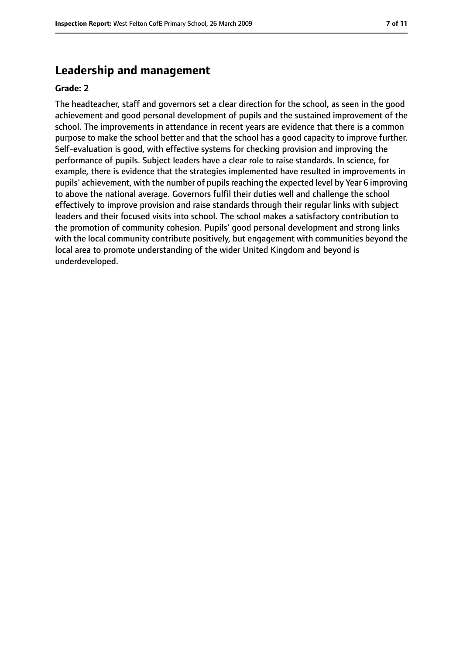### **Leadership and management**

#### **Grade: 2**

The headteacher, staff and governors set a clear direction for the school, as seen in the good achievement and good personal development of pupils and the sustained improvement of the school. The improvements in attendance in recent years are evidence that there is a common purpose to make the school better and that the school has a good capacity to improve further. Self-evaluation is good, with effective systems for checking provision and improving the performance of pupils. Subject leaders have a clear role to raise standards. In science, for example, there is evidence that the strategies implemented have resulted in improvements in pupils' achievement, with the number of pupils reaching the expected level by Year 6 improving to above the national average. Governors fulfil their duties well and challenge the school effectively to improve provision and raise standards through their regular links with subject leaders and their focused visits into school. The school makes a satisfactory contribution to the promotion of community cohesion. Pupils' good personal development and strong links with the local community contribute positively, but engagement with communities beyond the local area to promote understanding of the wider United Kingdom and beyond is underdeveloped.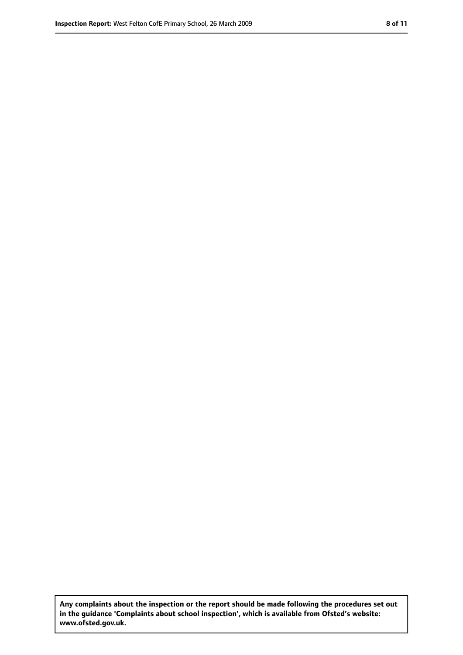**Any complaints about the inspection or the report should be made following the procedures set out in the guidance 'Complaints about school inspection', which is available from Ofsted's website: www.ofsted.gov.uk.**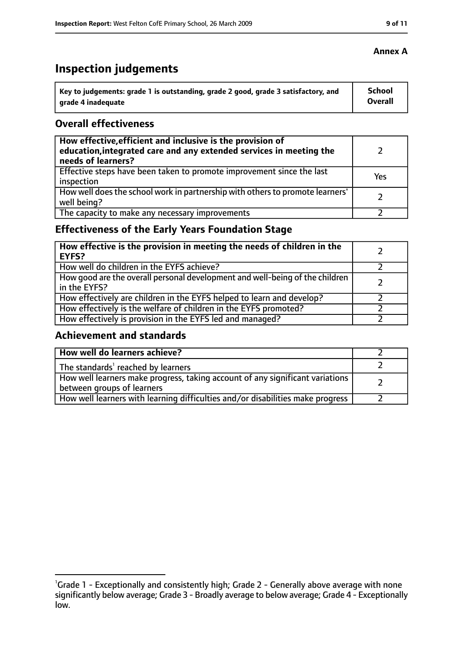# **Inspection judgements**

| Key to judgements: grade 1 is outstanding, grade 2 good, grade 3 satisfactory, and | <b>School</b>  |
|------------------------------------------------------------------------------------|----------------|
| arade 4 inadequate                                                                 | <b>Overall</b> |

#### **Overall effectiveness**

| How effective, efficient and inclusive is the provision of<br>education, integrated care and any extended services in meeting the<br>needs of learners? |     |
|---------------------------------------------------------------------------------------------------------------------------------------------------------|-----|
| Effective steps have been taken to promote improvement since the last<br>inspection                                                                     | Yes |
| How well does the school work in partnership with others to promote learners'<br>well being?                                                            |     |
| The capacity to make any necessary improvements                                                                                                         |     |

# **Effectiveness of the Early Years Foundation Stage**

| How effective is the provision in meeting the needs of children in the<br><b>EYFS?</b>       |  |
|----------------------------------------------------------------------------------------------|--|
| How well do children in the EYFS achieve?                                                    |  |
| How good are the overall personal development and well-being of the children<br>in the EYFS? |  |
| How effectively are children in the EYFS helped to learn and develop?                        |  |
| How effectively is the welfare of children in the EYFS promoted?                             |  |
| How effectively is provision in the EYFS led and managed?                                    |  |

#### **Achievement and standards**

| How well do learners achieve?                                                                               |  |
|-------------------------------------------------------------------------------------------------------------|--|
| The standards <sup>1</sup> reached by learners                                                              |  |
| How well learners make progress, taking account of any significant variations<br>between groups of learners |  |
| How well learners with learning difficulties and/or disabilities make progress                              |  |

<sup>&</sup>lt;sup>1</sup>Grade 1 - Exceptionally and consistently high; Grade 2 - Generally above average with none significantly below average; Grade 3 - Broadly average to below average; Grade 4 - Exceptionally low.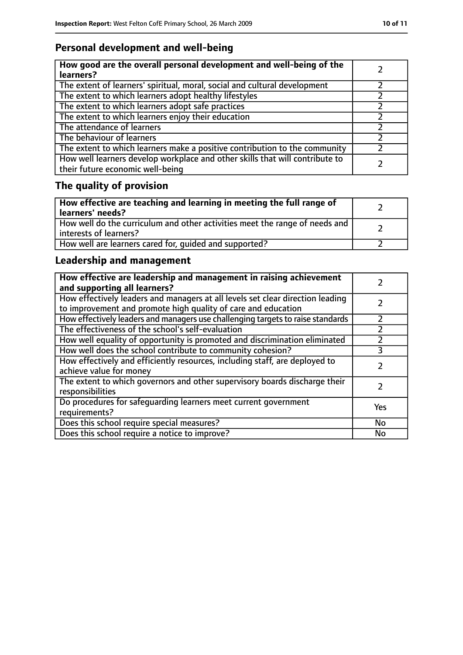# **Personal development and well-being**

| How good are the overall personal development and well-being of the<br>learners?                                 |  |
|------------------------------------------------------------------------------------------------------------------|--|
| The extent of learners' spiritual, moral, social and cultural development                                        |  |
| The extent to which learners adopt healthy lifestyles                                                            |  |
| The extent to which learners adopt safe practices                                                                |  |
| The extent to which learners enjoy their education                                                               |  |
| The attendance of learners                                                                                       |  |
| The behaviour of learners                                                                                        |  |
| The extent to which learners make a positive contribution to the community                                       |  |
| How well learners develop workplace and other skills that will contribute to<br>their future economic well-being |  |

# **The quality of provision**

| How effective are teaching and learning in meeting the full range of<br>learners' needs?              |  |
|-------------------------------------------------------------------------------------------------------|--|
| How well do the curriculum and other activities meet the range of needs and<br>interests of learners? |  |
| How well are learners cared for, quided and supported?                                                |  |

# **Leadership and management**

| How effective are leadership and management in raising achievement<br>and supporting all learners?                                              |     |
|-------------------------------------------------------------------------------------------------------------------------------------------------|-----|
| How effectively leaders and managers at all levels set clear direction leading<br>to improvement and promote high quality of care and education |     |
| How effectively leaders and managers use challenging targets to raise standards                                                                 |     |
| The effectiveness of the school's self-evaluation                                                                                               |     |
| How well equality of opportunity is promoted and discrimination eliminated                                                                      |     |
| How well does the school contribute to community cohesion?                                                                                      | 3   |
| How effectively and efficiently resources, including staff, are deployed to<br>achieve value for money                                          |     |
| The extent to which governors and other supervisory boards discharge their<br>responsibilities                                                  |     |
| Do procedures for safeguarding learners meet current government<br>requirements?                                                                | Yes |
| Does this school require special measures?                                                                                                      | No  |
| Does this school require a notice to improve?                                                                                                   | No  |